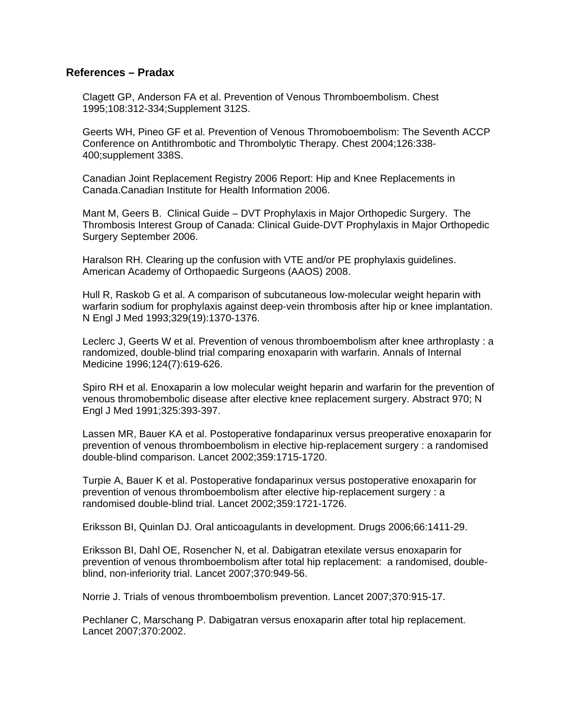## **References – Pradax**

Clagett GP, Anderson FA et al. Prevention of Venous Thromboembolism. Chest 1995;108:312-334;Supplement 312S.

Geerts WH, Pineo GF et al. Prevention of Venous Thromoboembolism: The Seventh ACCP Conference on Antithrombotic and Thrombolytic Therapy. Chest 2004;126:338- 400;supplement 338S.

Canadian Joint Replacement Registry 2006 Report: Hip and Knee Replacements in Canada.Canadian Institute for Health Information 2006.

Mant M, Geers B. Clinical Guide – DVT Prophylaxis in Major Orthopedic Surgery. The Thrombosis Interest Group of Canada: Clinical Guide-DVT Prophylaxis in Major Orthopedic Surgery September 2006.

Haralson RH. Clearing up the confusion with VTE and/or PE prophylaxis guidelines. American Academy of Orthopaedic Surgeons (AAOS) 2008.

Hull R, Raskob G et al. A comparison of subcutaneous low-molecular weight heparin with warfarin sodium for prophylaxis against deep-vein thrombosis after hip or knee implantation. N Engl J Med 1993;329(19):1370-1376.

Leclerc J, Geerts W et al. Prevention of venous thromboembolism after knee arthroplasty : a randomized, double-blind trial comparing enoxaparin with warfarin. Annals of Internal Medicine 1996;124(7):619-626.

Spiro RH et al. Enoxaparin a low molecular weight heparin and warfarin for the prevention of venous thromobembolic disease after elective knee replacement surgery. Abstract 970; N Engl J Med 1991;325:393-397.

Lassen MR, Bauer KA et al. Postoperative fondaparinux versus preoperative enoxaparin for prevention of venous thromboembolism in elective hip-replacement surgery : a randomised double-blind comparison. Lancet 2002;359:1715-1720.

Turpie A, Bauer K et al. Postoperative fondaparinux versus postoperative enoxaparin for prevention of venous thromboembolism after elective hip-replacement surgery : a randomised double-blind trial. Lancet 2002;359:1721-1726.

Eriksson BI, Quinlan DJ. Oral anticoagulants in development. Drugs 2006;66:1411-29.

Eriksson BI, Dahl OE, Rosencher N, et al. Dabigatran etexilate versus enoxaparin for prevention of venous thromboembolism after total hip replacement: a randomised, doubleblind, non-inferiority trial. Lancet 2007;370:949-56.

Norrie J. Trials of venous thromboembolism prevention. Lancet 2007;370:915-17.

Pechlaner C, Marschang P. Dabigatran versus enoxaparin after total hip replacement. Lancet 2007;370:2002.